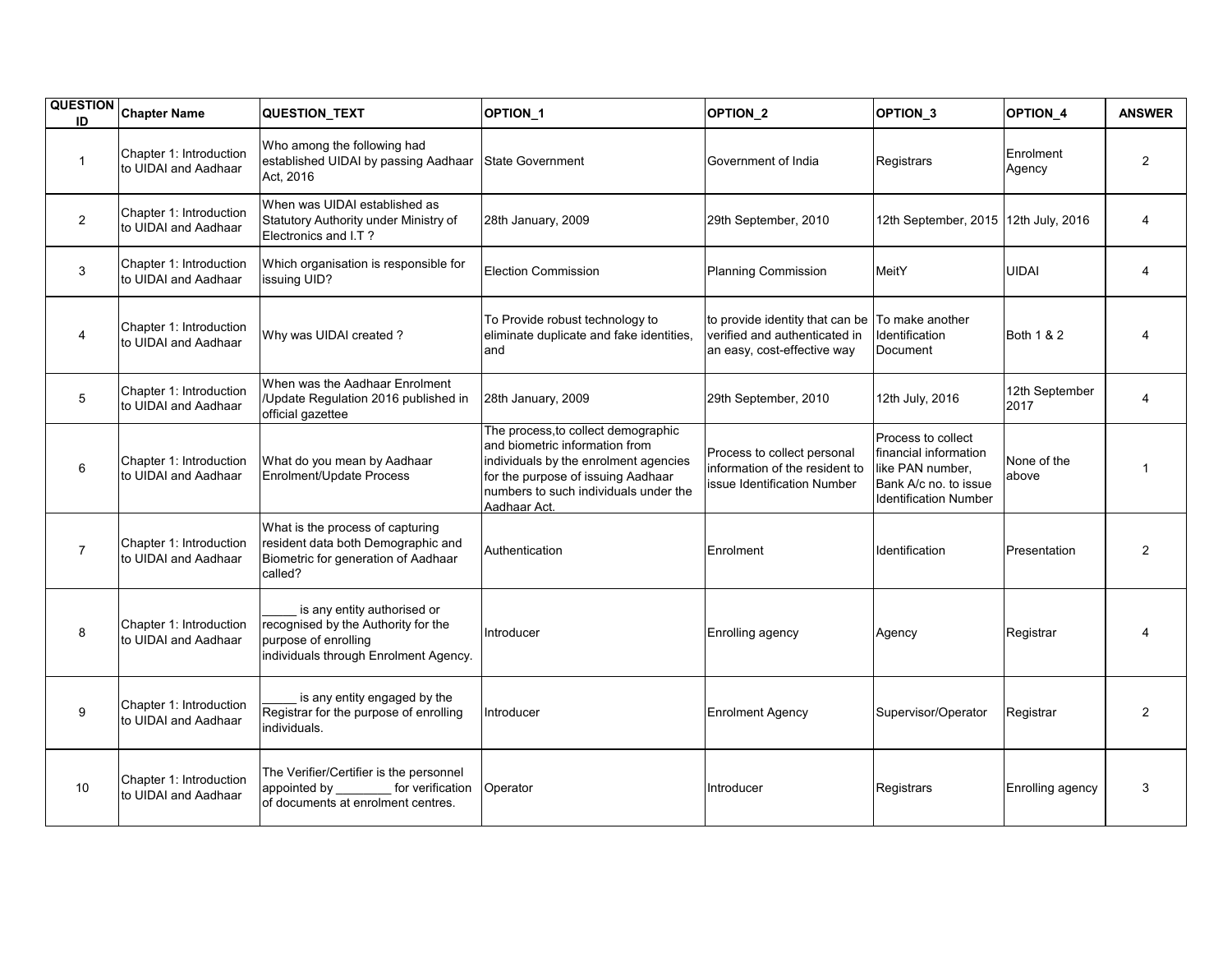| <b>QUESTION</b><br>ID | <b>Chapter Name</b>                             | <b>QUESTION_TEXT</b>                                                                                                                | OPTION_1                                                                                                                                                                                                      | OPTION_2                                                                                        | OPTION <sub>3</sub>                                                                                                      | OPTION_4               | <b>ANSWER</b>  |
|-----------------------|-------------------------------------------------|-------------------------------------------------------------------------------------------------------------------------------------|---------------------------------------------------------------------------------------------------------------------------------------------------------------------------------------------------------------|-------------------------------------------------------------------------------------------------|--------------------------------------------------------------------------------------------------------------------------|------------------------|----------------|
| $\mathbf{1}$          | Chapter 1: Introduction<br>to UIDAI and Aadhaar | Who among the following had<br>established UIDAI by passing Aadhaar<br>Act, 2016                                                    | <b>State Government</b>                                                                                                                                                                                       | Government of India                                                                             | Registrars                                                                                                               | Enrolment<br>Agency    | $\overline{2}$ |
| $\overline{2}$        | Chapter 1: Introduction<br>to UIDAI and Aadhaar | When was UIDAI established as<br>Statutory Authority under Ministry of<br>Electronics and I.T?                                      | 28th January, 2009                                                                                                                                                                                            | 29th September, 2010                                                                            | 12th September, 2015 12th July, 2016                                                                                     |                        | 4              |
| 3                     | Chapter 1: Introduction<br>to UIDAI and Aadhaar | Which organisation is responsible for<br>issuing UID?                                                                               | <b>Election Commission</b>                                                                                                                                                                                    | <b>Planning Commission</b>                                                                      | MeitY                                                                                                                    | <b>UIDAI</b>           | 4              |
| $\overline{4}$        | Chapter 1: Introduction<br>to UIDAI and Aadhaar | Why was UIDAI created?                                                                                                              | To Provide robust technology to<br>eliminate duplicate and fake identities,<br>and                                                                                                                            | to provide identity that can be<br>verified and authenticated in<br>an easy, cost-effective way | To make another<br>Identification<br>Document                                                                            | Both 1 & 2             | 4              |
| 5                     | Chapter 1: Introduction<br>to UIDAI and Aadhaar | When was the Aadhaar Enrolment<br>/Update Regulation 2016 published in<br>official gazettee                                         | 28th January, 2009                                                                                                                                                                                            | 29th September, 2010                                                                            | 12th July, 2016                                                                                                          | 12th September<br>2017 | 4              |
| 6                     | Chapter 1: Introduction<br>to UIDAI and Aadhaar | What do you mean by Aadhaar<br>Enrolment/Update Process                                                                             | The process, to collect demographic<br>and biometric information from<br>individuals by the enrolment agencies<br>for the purpose of issuing Aadhaar<br>numbers to such individuals under the<br>Aadhaar Act. | Process to collect personal<br>information of the resident to<br>issue Identification Number    | Process to collect<br>financial information<br>like PAN number.<br>Bank A/c no. to issue<br><b>Identification Number</b> | None of the<br>above   |                |
| $\overline{7}$        | Chapter 1: Introduction<br>to UIDAI and Aadhaar | What is the process of capturing<br>resident data both Demographic and<br>Biometric for generation of Aadhaar<br>called?            | Authentication                                                                                                                                                                                                | Enrolment                                                                                       | Identification                                                                                                           | Presentation           | 2              |
| 8                     | Chapter 1: Introduction<br>to UIDAI and Aadhaar | is any entity authorised or<br>recognised by the Authority for the<br>purpose of enrolling<br>individuals through Enrolment Agency. | Introducer                                                                                                                                                                                                    | Enrolling agency                                                                                | Agency                                                                                                                   | Registrar              |                |
| 9                     | Chapter 1: Introduction<br>to UIDAI and Aadhaar | is any entity engaged by the<br>Registrar for the purpose of enrolling<br>individuals.                                              | Introducer                                                                                                                                                                                                    | <b>Enrolment Agency</b>                                                                         | Supervisor/Operator                                                                                                      | Registrar              | $\overline{c}$ |
| 10                    | Chapter 1: Introduction<br>to UIDAI and Aadhaar | The Verifier/Certifier is the personnel<br>appointed by<br>for verification<br>of documents at enrolment centres.                   | Operator                                                                                                                                                                                                      | Introducer                                                                                      | Registrars                                                                                                               | Enrolling agency       | 3              |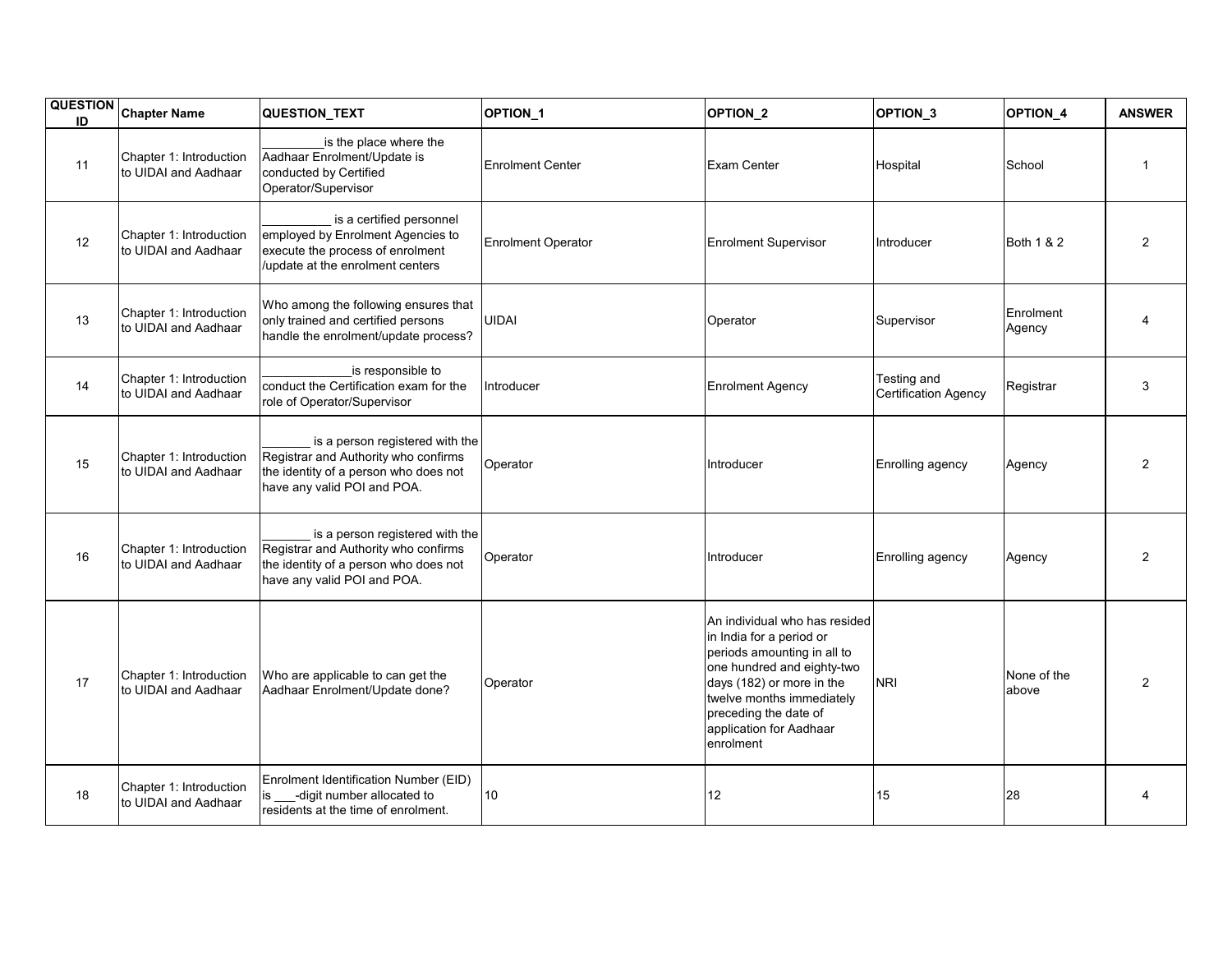| <b>QUESTION</b><br>ID | <b>Chapter Name</b>                             | QUESTION_TEXT                                                                                                                                   | OPTION_1                  | OPTION_2                                                                                                                                                                                                                                          | OPTION <sub>3</sub>                        | OPTION_4             | <b>ANSWER</b>  |
|-----------------------|-------------------------------------------------|-------------------------------------------------------------------------------------------------------------------------------------------------|---------------------------|---------------------------------------------------------------------------------------------------------------------------------------------------------------------------------------------------------------------------------------------------|--------------------------------------------|----------------------|----------------|
| 11                    | Chapter 1: Introduction<br>to UIDAI and Aadhaar | is the place where the<br>Aadhaar Enrolment/Update is<br>conducted by Certified<br>Operator/Supervisor                                          | <b>Enrolment Center</b>   | <b>Exam Center</b>                                                                                                                                                                                                                                | Hospital                                   | School               | $\mathbf 1$    |
| 12                    | Chapter 1: Introduction<br>to UIDAI and Aadhaar | is a certified personnel<br>employed by Enrolment Agencies to<br>execute the process of enrolment<br>/update at the enrolment centers           | <b>Enrolment Operator</b> | <b>Enrolment Supervisor</b>                                                                                                                                                                                                                       | Introducer                                 | Both 1 & 2           | $\overline{2}$ |
| 13                    | Chapter 1: Introduction<br>to UIDAI and Aadhaar | Who among the following ensures that<br>only trained and certified persons<br>handle the enrolment/update process?                              | <b>UIDAI</b>              | Operator                                                                                                                                                                                                                                          | Supervisor                                 | Enrolment<br>Agency  |                |
| 14                    | Chapter 1: Introduction<br>to UIDAI and Aadhaar | is responsible to<br>conduct the Certification exam for the<br>role of Operator/Supervisor                                                      | Introducer                | <b>Enrolment Agency</b>                                                                                                                                                                                                                           | Testing and<br><b>Certification Agency</b> | Registrar            | 3              |
| 15                    | Chapter 1: Introduction<br>to UIDAI and Aadhaar | is a person registered with the<br>Registrar and Authority who confirms<br>the identity of a person who does not<br>have any valid POI and POA. | Operator                  | Introducer                                                                                                                                                                                                                                        | Enrolling agency                           | Agency               | 2              |
| 16                    | Chapter 1: Introduction<br>to UIDAI and Aadhaar | is a person registered with the<br>Registrar and Authority who confirms<br>the identity of a person who does not<br>have any valid POI and POA. | Operator                  | Introducer                                                                                                                                                                                                                                        | Enrolling agency                           | Agency               | $\overline{2}$ |
| 17                    | Chapter 1: Introduction<br>to UIDAI and Aadhaar | Who are applicable to can get the<br>Aadhaar Enrolment/Update done?                                                                             | Operator                  | An individual who has resided<br>in India for a period or<br>periods amounting in all to<br>one hundred and eighty-two<br>days (182) or more in the<br>twelve months immediately<br>preceding the date of<br>application for Aadhaar<br>enrolment | <b>NRI</b>                                 | None of the<br>above | $\overline{2}$ |
| 18                    | Chapter 1: Introduction<br>to UIDAI and Aadhaar | Enrolment Identification Number (EID)<br>-digit number allocated to<br>residents at the time of enrolment.                                      | 10                        | 12                                                                                                                                                                                                                                                | 15                                         | 28                   | 4              |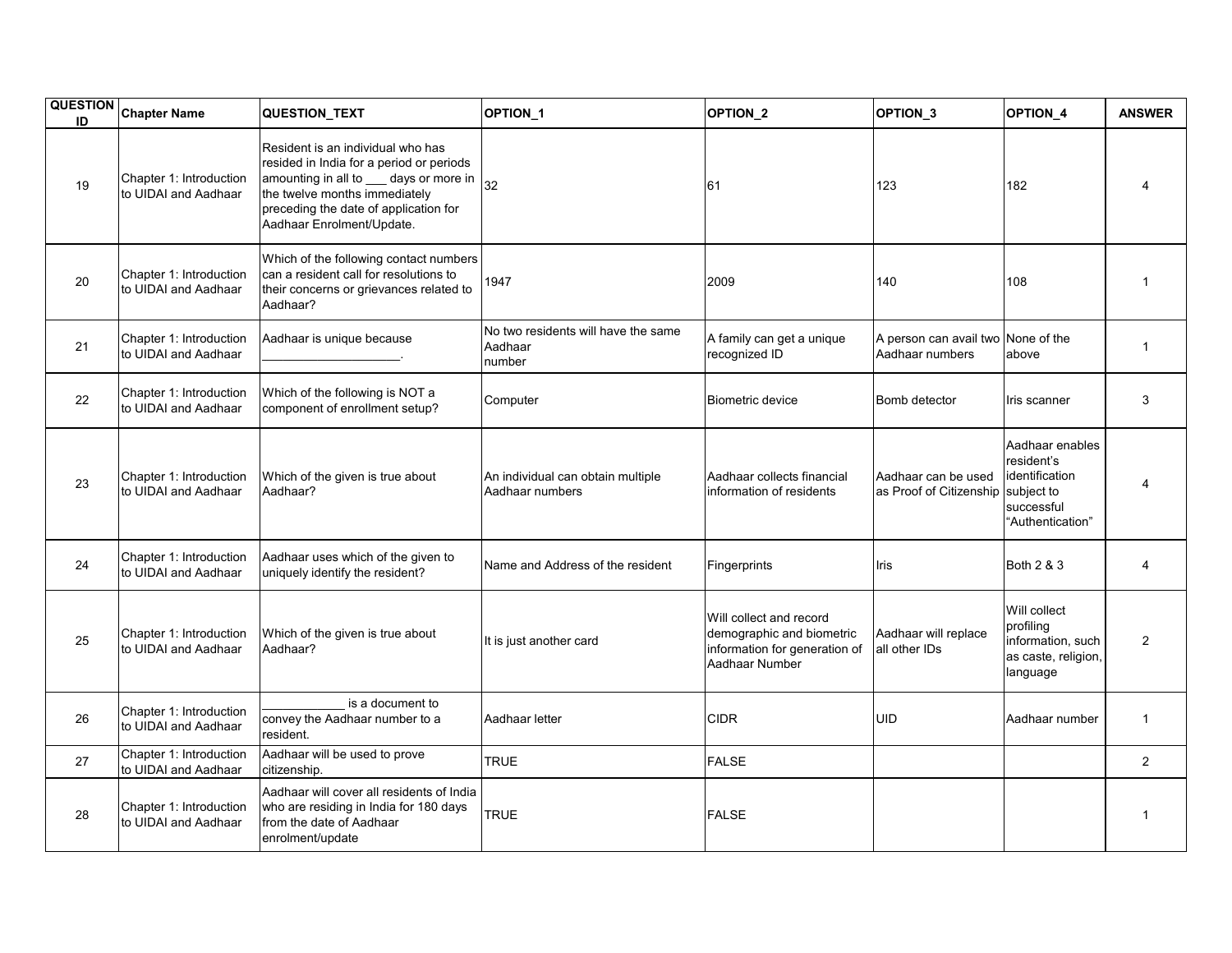| <b>QUESTION</b><br>ID | <b>Chapter Name</b>                             | QUESTION_TEXT                                                                                                                                                                                                                  | OPTION_1                                                 | OPTION_2                                                                                                | OPTION <sub>3</sub>                                   | OPTION_4                                                                                        | <b>ANSWER</b>  |
|-----------------------|-------------------------------------------------|--------------------------------------------------------------------------------------------------------------------------------------------------------------------------------------------------------------------------------|----------------------------------------------------------|---------------------------------------------------------------------------------------------------------|-------------------------------------------------------|-------------------------------------------------------------------------------------------------|----------------|
| 19                    | Chapter 1: Introduction<br>to UIDAI and Aadhaar | Resident is an individual who has<br>resided in India for a period or periods<br>amounting in all to __ days or more in<br>the twelve months immediately<br>preceding the date of application for<br>Aadhaar Enrolment/Update. | 32                                                       | 61                                                                                                      | 123                                                   | 182                                                                                             |                |
| 20                    | Chapter 1: Introduction<br>to UIDAI and Aadhaar | Which of the following contact numbers<br>can a resident call for resolutions to<br>their concerns or grievances related to<br>Aadhaar?                                                                                        | 1947                                                     | 2009                                                                                                    | 140                                                   | 108                                                                                             | $\mathbf 1$    |
| 21                    | Chapter 1: Introduction<br>to UIDAI and Aadhaar | Aadhaar is unique because                                                                                                                                                                                                      | No two residents will have the same<br>Aadhaar<br>number | A family can get a unique<br>recognized ID                                                              | A person can avail two None of the<br>Aadhaar numbers | above                                                                                           | $\mathbf{1}$   |
| 22                    | Chapter 1: Introduction<br>to UIDAI and Aadhaar | Which of the following is NOT a<br>component of enrollment setup?                                                                                                                                                              | Computer                                                 | Biometric device                                                                                        | Bomb detector                                         | Iris scanner                                                                                    | 3              |
| 23                    | Chapter 1: Introduction<br>to UIDAI and Aadhaar | Which of the given is true about<br>Aadhaar?                                                                                                                                                                                   | An individual can obtain multiple<br>Aadhaar numbers     | Aadhaar collects financial<br>information of residents                                                  | Aadhaar can be used<br>as Proof of Citizenship        | Aadhaar enables<br>resident's<br>identification<br>subject to<br>successful<br>"Authentication" | 4              |
| 24                    | Chapter 1: Introduction<br>to UIDAI and Aadhaar | Aadhaar uses which of the given to<br>uniquely identify the resident?                                                                                                                                                          | Name and Address of the resident                         | Fingerprints                                                                                            | Iris                                                  | Both 2 & 3                                                                                      | 4              |
| 25                    | Chapter 1: Introduction<br>to UIDAI and Aadhaar | Which of the given is true about<br>Aadhaar?                                                                                                                                                                                   | It is just another card                                  | Will collect and record<br>demographic and biometric<br>information for generation of<br>Aadhaar Number | Aadhaar will replace<br>all other IDs                 | Will collect<br>profiling<br>information, such<br>as caste, religion,<br>language               | $\mathbf{2}$   |
| 26                    | Chapter 1: Introduction<br>to UIDAI and Aadhaar | is a document to<br>convey the Aadhaar number to a<br>resident.                                                                                                                                                                | Aadhaar letter                                           | <b>CIDR</b>                                                                                             | UID                                                   | Aadhaar number                                                                                  | $\mathbf{1}$   |
| 27                    | Chapter 1: Introduction<br>to UIDAI and Aadhaar | Aadhaar will be used to prove<br>citizenship.                                                                                                                                                                                  | <b>TRUE</b>                                              | <b>FALSE</b>                                                                                            |                                                       |                                                                                                 | $\overline{2}$ |
| 28                    | Chapter 1: Introduction<br>to UIDAI and Aadhaar | Aadhaar will cover all residents of India<br>who are residing in India for 180 days<br>from the date of Aadhaar<br>enrolment/update                                                                                            | <b>TRUE</b>                                              | <b>FALSE</b>                                                                                            |                                                       |                                                                                                 | 1              |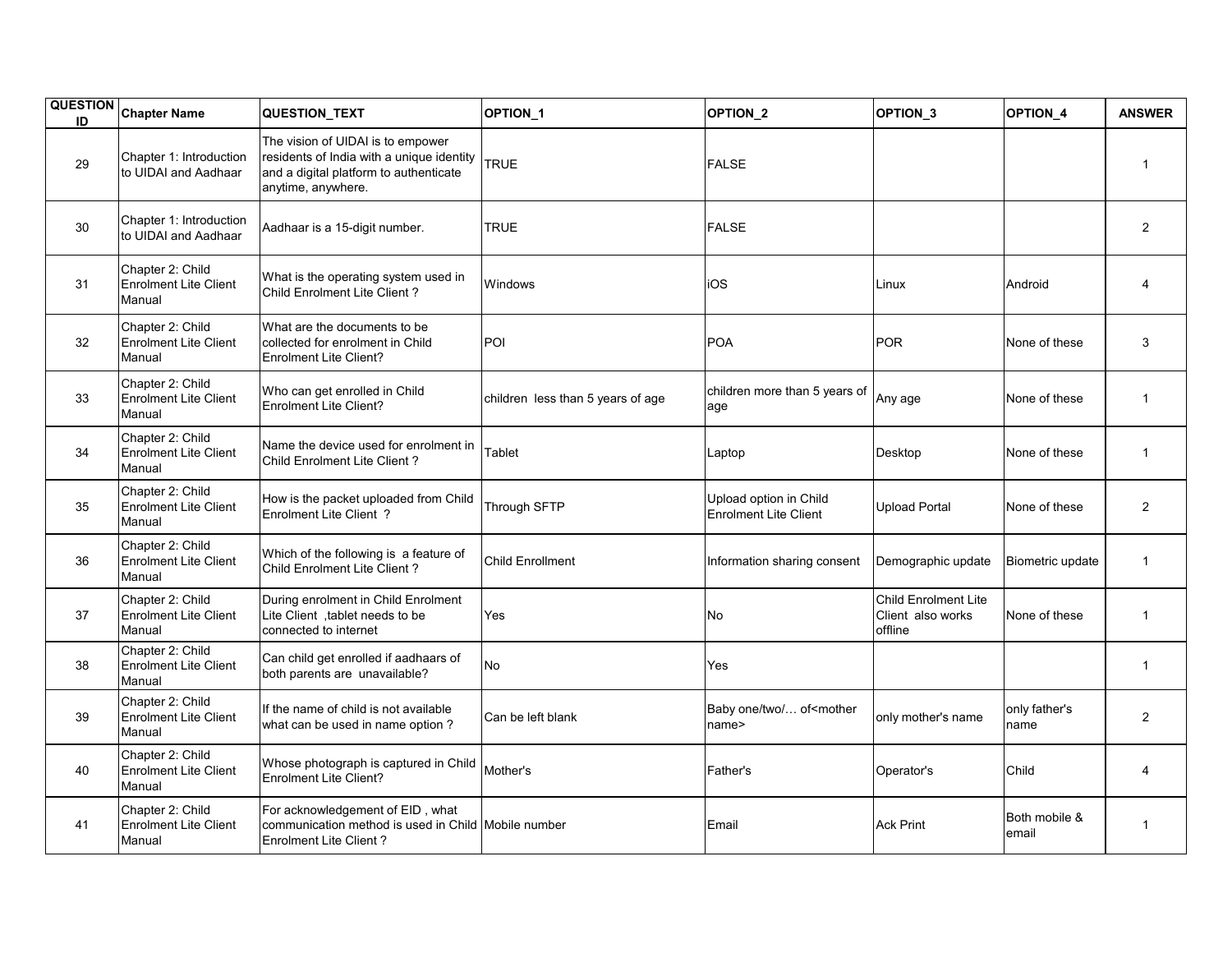| <b>QUESTION</b><br>ID | <b>Chapter Name</b>                                        | QUESTION_TEXT                                                                                                                                  | OPTION_1                          | OPTION_2                                               | OPTION <sub>_3</sub>                                 | OPTION_4               | <b>ANSWER</b>  |
|-----------------------|------------------------------------------------------------|------------------------------------------------------------------------------------------------------------------------------------------------|-----------------------------------|--------------------------------------------------------|------------------------------------------------------|------------------------|----------------|
| 29                    | Chapter 1: Introduction<br>to UIDAI and Aadhaar            | The vision of UIDAI is to empower<br>residents of India with a unique identity<br>and a digital platform to authenticate<br>anytime, anywhere. | <b>TRUE</b>                       | <b>FALSE</b>                                           |                                                      |                        | 1              |
| 30                    | Chapter 1: Introduction<br>to UIDAI and Aadhaar            | Aadhaar is a 15-digit number.                                                                                                                  | <b>TRUE</b>                       | <b>FALSE</b>                                           |                                                      |                        | $\overline{2}$ |
| 31                    | Chapter 2: Child<br><b>Enrolment Lite Client</b><br>Manual | What is the operating system used in<br>Child Enrolment Lite Client?                                                                           | Windows                           | iOS                                                    | Linux                                                | Android                | 4              |
| 32                    | Chapter 2: Child<br><b>Enrolment Lite Client</b><br>Manual | What are the documents to be<br>collected for enrolment in Child<br><b>Enrolment Lite Client?</b>                                              | POI                               | <b>POA</b>                                             | POR                                                  | None of these          | 3              |
| 33                    | Chapter 2: Child<br><b>Enrolment Lite Client</b><br>Manual | Who can get enrolled in Child<br><b>Enrolment Lite Client?</b>                                                                                 | children less than 5 years of age | children more than 5 years of<br>age                   | Any age                                              | None of these          | $\mathbf{1}$   |
| 34                    | Chapter 2: Child<br><b>Enrolment Lite Client</b><br>Manual | Name the device used for enrolment in<br>Child Enrolment Lite Client?                                                                          | Tablet                            | Laptop                                                 | Desktop                                              | None of these          | $\mathbf 1$    |
| 35                    | Chapter 2: Child<br><b>Enrolment Lite Client</b><br>Manual | How is the packet uploaded from Child<br>Enrolment Lite Client ?                                                                               | Through SFTP                      | Upload option in Child<br><b>Enrolment Lite Client</b> | Jpload Portal                                        | None of these          | $\overline{2}$ |
| 36                    | Chapter 2: Child<br><b>Enrolment Lite Client</b><br>Manual | Which of the following is a feature of<br>Child Enrolment Lite Client?                                                                         | Child Enrollment                  | Information sharing consent                            | Demographic update                                   | Biometric update       | $\mathbf{1}$   |
| 37                    | Chapter 2: Child<br><b>Enrolment Lite Client</b><br>Manual | During enrolment in Child Enrolment<br>Lite Client, tablet needs to be<br>connected to internet                                                | Yes                               | No                                                     | Child Enrolment Lite<br>Client also works<br>offline | None of these          | $\mathbf{1}$   |
| 38                    | Chapter 2: Child<br><b>Enrolment Lite Client</b><br>Manual | Can child get enrolled if aadhaars of<br>both parents are unavailable?                                                                         | No                                | Yes                                                    |                                                      |                        | $\mathbf{1}$   |
| 39                    | Chapter 2: Child<br><b>Enrolment Lite Client</b><br>Manual | If the name of child is not available<br>what can be used in name option?                                                                      | Can be left blank                 | Baby one/two/ of <mother<br>name&gt;</mother<br>       | only mother's name                                   | only father's<br>name  | 2              |
| 40                    | Chapter 2: Child<br><b>Enrolment Lite Client</b><br>Manual | Whose photograph is captured in Child<br>Enrolment Lite Client?                                                                                | Mother's                          | Father's                                               | Operator's                                           | Child                  | 4              |
| 41                    | Chapter 2: Child<br><b>Enrolment Lite Client</b><br>Manual | For acknowledgement of EID, what<br>communication method is used in Child Mobile number<br><b>Enrolment Lite Client?</b>                       |                                   | Email                                                  | <b>Ack Print</b>                                     | Both mobile &<br>email | 1              |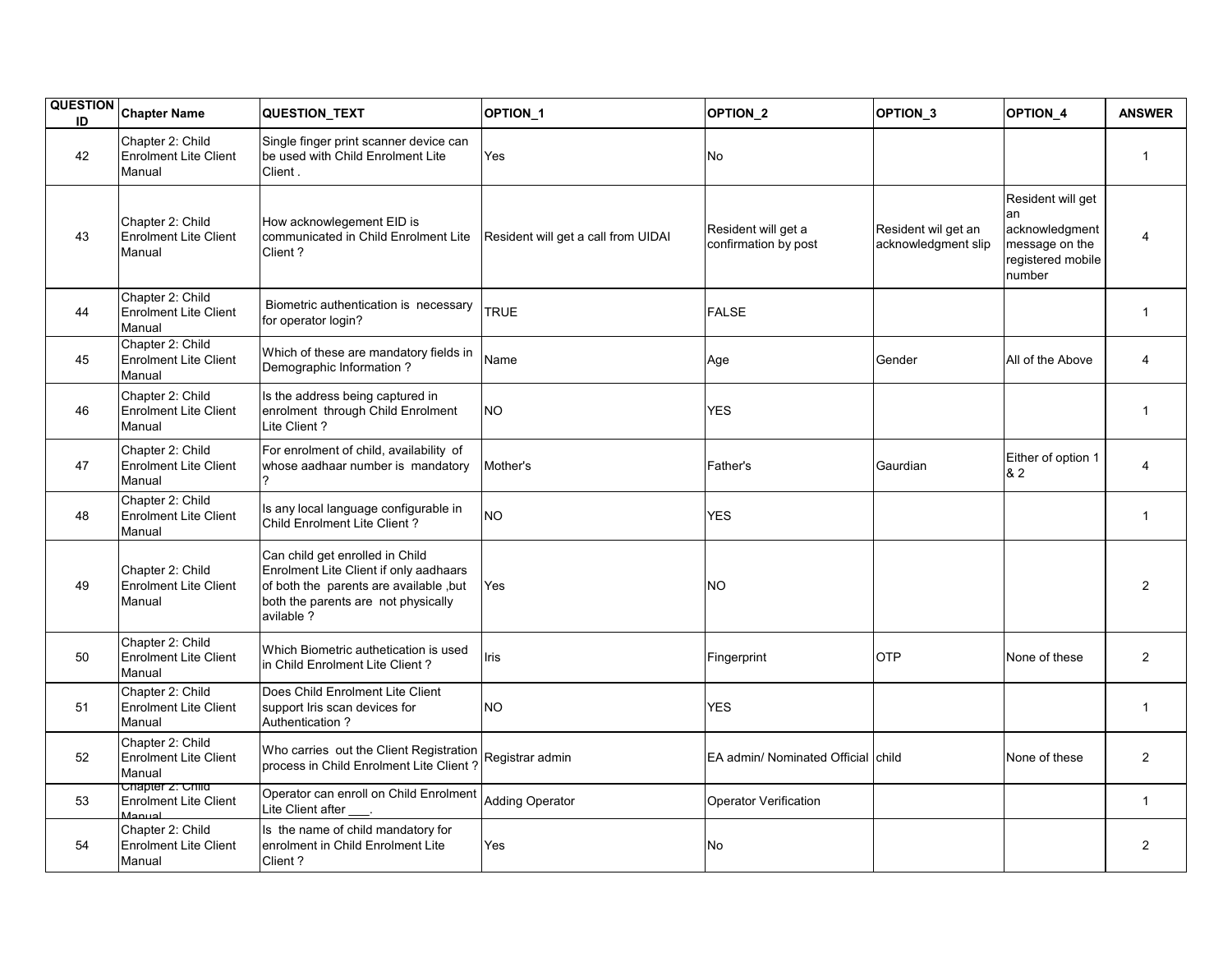| <b>QUESTION</b><br>ID | <b>Chapter Name</b>                                        | QUESTION_TEXT                                                                                                                                                            | OPTION_1                            | OPTION_2                                    | OPTION 3                                   | OPTION_4                                                                                    | <b>ANSWER</b>  |
|-----------------------|------------------------------------------------------------|--------------------------------------------------------------------------------------------------------------------------------------------------------------------------|-------------------------------------|---------------------------------------------|--------------------------------------------|---------------------------------------------------------------------------------------------|----------------|
| 42                    | Chapter 2: Child<br><b>Enrolment Lite Client</b><br>Manual | Single finger print scanner device can<br>be used with Child Enrolment Lite<br>Client.                                                                                   | Yes                                 | No                                          |                                            |                                                                                             | $\mathbf{1}$   |
| 43                    | Chapter 2: Child<br><b>Enrolment Lite Client</b><br>Manual | How acknowlegement EID is<br>communicated in Child Enrolment Lite<br>Client?                                                                                             | Resident will get a call from UIDAI | Resident will get a<br>confirmation by post | Resident wil get an<br>acknowledgment slip | Resident will get<br>lan<br>acknowledgment<br>message on the<br>registered mobile<br>number |                |
| 44                    | Chapter 2: Child<br><b>Enrolment Lite Client</b><br>Manual | Biometric authentication is necessary<br>for operator login?                                                                                                             | <b>TRUE</b>                         | <b>FALSE</b>                                |                                            |                                                                                             | $\mathbf{1}$   |
| 45                    | Chapter 2: Child<br><b>Enrolment Lite Client</b><br>Manual | Which of these are mandatory fields in<br>Demographic Information?                                                                                                       | Name                                | Age                                         | Gender                                     | All of the Above                                                                            | 4              |
| 46                    | Chapter 2: Child<br><b>Enrolment Lite Client</b><br>Manual | Is the address being captured in<br>enrolment through Child Enrolment<br>Lite Client?                                                                                    | <b>NO</b>                           | <b>YES</b>                                  |                                            |                                                                                             | 1              |
| 47                    | Chapter 2: Child<br><b>Enrolment Lite Client</b><br>Manual | For enrolment of child, availability of<br>whose aadhaar number is mandatory                                                                                             | Mother's                            | Father's                                    | Gaurdian                                   | Either of option 1<br>& 2                                                                   | 4              |
| 48                    | Chapter 2: Child<br><b>Enrolment Lite Client</b><br>Manual | Is any local language configurable in<br>Child Enrolment Lite Client?                                                                                                    | <b>NO</b>                           | <b>YES</b>                                  |                                            |                                                                                             | $\mathbf{1}$   |
| 49                    | Chapter 2: Child<br><b>Enrolment Lite Client</b><br>Manual | Can child get enrolled in Child<br>Enrolment Lite Client if only aadhaars<br>of both the parents are available, but<br>both the parents are not physically<br>avilable ? | Yes                                 | <b>NO</b>                                   |                                            |                                                                                             | 2              |
| 50                    | Chapter 2: Child<br><b>Enrolment Lite Client</b><br>Manual | Which Biometric authetication is used<br>in Child Enrolment Lite Client?                                                                                                 | Iris                                | Fingerprint                                 | <b>OTP</b>                                 | None of these                                                                               | $\overline{2}$ |
| 51                    | Chapter 2: Child<br><b>Enrolment Lite Client</b><br>Manual | Does Child Enrolment Lite Client<br>support Iris scan devices for<br><b>Authentication?</b>                                                                              | <b>NO</b>                           | <b>YES</b>                                  |                                            |                                                                                             | $\mathbf{1}$   |
| 52                    | Chapter 2: Child<br><b>Enrolment Lite Client</b><br>Manual | Who carries out the Client Registration<br>process in Child Enrolment Lite Client?                                                                                       | Registrar admin                     | EA admin/ Nominated Official child          |                                            | None of these                                                                               | $\overline{2}$ |
| 53                    | Chapter 2: Child<br><b>Enrolment Lite Client</b><br>Manual | Operator can enroll on Child Enrolment<br>Lite Client after                                                                                                              | <b>Adding Operator</b>              | <b>Operator Verification</b>                |                                            |                                                                                             | $\mathbf{1}$   |
| 54                    | Chapter 2: Child<br><b>Enrolment Lite Client</b><br>Manual | Is the name of child mandatory for<br>enrolment in Child Enrolment Lite<br>Client?                                                                                       | Yes                                 | <b>No</b>                                   |                                            |                                                                                             | $\overline{2}$ |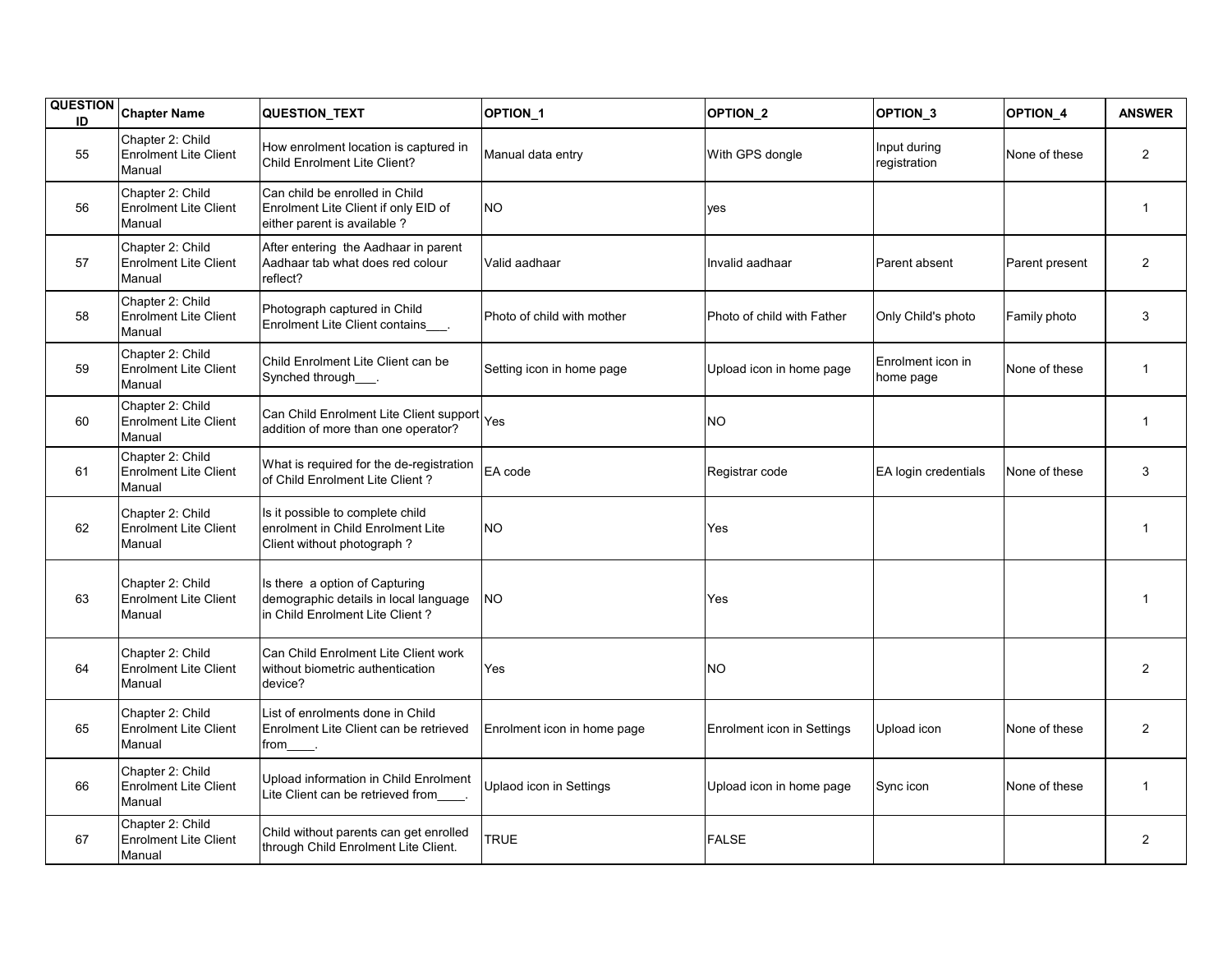| <b>QUESTION</b><br>ID | <b>Chapter Name</b>                                        | QUESTION_TEXT                                                                                              | OPTION_1                    | OPTION_2                   | OPTION <sub>3</sub>            | OPTION_4       | <b>ANSWER</b>  |
|-----------------------|------------------------------------------------------------|------------------------------------------------------------------------------------------------------------|-----------------------------|----------------------------|--------------------------------|----------------|----------------|
| 55                    | Chapter 2: Child<br><b>Enrolment Lite Client</b><br>Manual | How enrolment location is captured in<br>Child Enrolment Lite Client?                                      | Manual data entry           | With GPS dongle            | Input during<br>registration   | None of these  | $\overline{2}$ |
| 56                    | Chapter 2: Child<br>Enrolment Lite Client<br>Manual        | Can child be enrolled in Child<br>Enrolment Lite Client if only EID of<br>either parent is available?      | NO.                         | yes                        |                                |                | $\mathbf{1}$   |
| 57                    | Chapter 2: Child<br><b>Enrolment Lite Client</b><br>Manual | After entering the Aadhaar in parent<br>Aadhaar tab what does red colour<br>reflect?                       | Valid aadhaar               | Invalid aadhaar            | Parent absent                  | Parent present | $\overline{2}$ |
| 58                    | Chapter 2: Child<br><b>Enrolment Lite Client</b><br>Manual | Photograph captured in Child<br>Enrolment Lite Client contains<br>                                         | Photo of child with mother  | Photo of child with Father | Only Child's photo             | Family photo   | 3              |
| 59                    | Chapter 2: Child<br><b>Enrolment Lite Client</b><br>Manual | Child Enrolment Lite Client can be<br>Synched through___.                                                  | Setting icon in home page   | Upload icon in home page   | Enrolment icon in<br>home page | None of these  | $\mathbf{1}$   |
| 60                    | Chapter 2: Child<br><b>Enrolment Lite Client</b><br>Manual | Can Child Enrolment Lite Client support<br>addition of more than one operator?                             | Yes                         | NO.                        |                                |                | $\mathbf{1}$   |
| 61                    | Chapter 2: Child<br><b>Enrolment Lite Client</b><br>Manual | What is required for the de-registration<br>of Child Enrolment Lite Client?                                | EA code                     | Registrar code             | EA login credentials           | None of these  | 3              |
| 62                    | Chapter 2: Child<br><b>Enrolment Lite Client</b><br>Manual | Is it possible to complete child<br>enrolment in Child Enrolment Lite<br>Client without photograph?        | NO.                         | Yes                        |                                |                | $\mathbf{1}$   |
| 63                    | Chapter 2: Child<br>Enrolment Lite Client<br>Manual        | Is there a option of Capturing<br>demographic details in local language<br>in Child Enrolment Lite Client? | ΝO                          | Yes                        |                                |                | $\mathbf{1}$   |
| 64                    | Chapter 2: Child<br><b>Enrolment Lite Client</b><br>Manual | Can Child Enrolment Lite Client work<br>without biometric authentication<br>device?                        | Yes                         | <b>NO</b>                  |                                |                | 2              |
| 65                    | Chapter 2: Child<br><b>Enrolment Lite Client</b><br>Manual | List of enrolments done in Child<br>Enrolment Lite Client can be retrieved<br>from__                       | Enrolment icon in home page | Enrolment icon in Settings | Upload icon                    | None of these  | $\overline{2}$ |
| 66                    | Chapter 2: Child<br><b>Enrolment Lite Client</b><br>Manual | Upload information in Child Enrolment<br>Lite Client can be retrieved from .                               | Uplaod icon in Settings     | Upload icon in home page   | Sync icon                      | None of these  | $\mathbf{1}$   |
| 67                    | Chapter 2: Child<br><b>Enrolment Lite Client</b><br>Manual | Child without parents can get enrolled<br>through Child Enrolment Lite Client.                             | <b>TRUE</b>                 | <b>FALSE</b>               |                                |                | $\overline{2}$ |